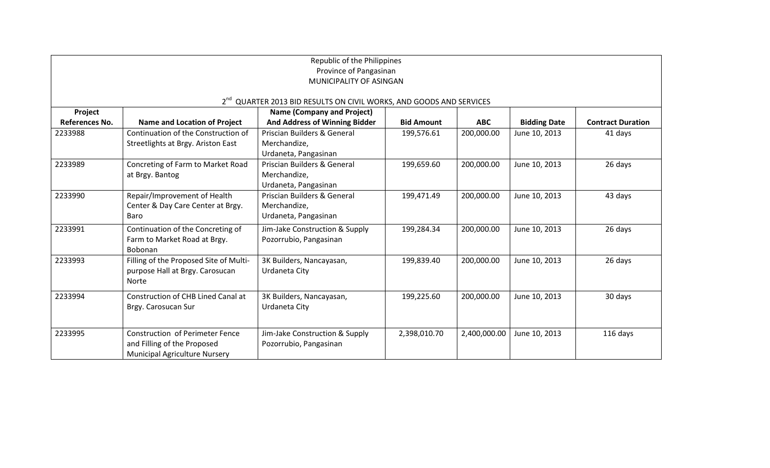| Republic of the Philippines<br>Province of Pangasinan<br>MUNICIPALITY OF ASINGAN |                                           |                                        |                   |              |                     |                          |  |  |  |  |
|----------------------------------------------------------------------------------|-------------------------------------------|----------------------------------------|-------------------|--------------|---------------------|--------------------------|--|--|--|--|
| 2 <sup>nd</sup> QUARTER 2013 BID RESULTS ON CIVIL WORKS, AND GOODS AND SERVICES  |                                           |                                        |                   |              |                     |                          |  |  |  |  |
| Project                                                                          |                                           | <b>Name (Company and Project)</b>      |                   |              |                     |                          |  |  |  |  |
| References No.                                                                   | <b>Name and Location of Project</b>       | <b>And Address of Winning Bidder</b>   | <b>Bid Amount</b> | <b>ABC</b>   | <b>Bidding Date</b> | <b>Contract Duration</b> |  |  |  |  |
| 2233988                                                                          | Continuation of the Construction of       | <b>Priscian Builders &amp; General</b> | 199,576.61        | 200,000.00   | June 10, 2013       | 41 days                  |  |  |  |  |
|                                                                                  | Streetlights at Brgy. Ariston East        | Merchandize,                           |                   |              |                     |                          |  |  |  |  |
|                                                                                  |                                           | Urdaneta, Pangasinan                   |                   |              |                     |                          |  |  |  |  |
| 2233989                                                                          | Concreting of Farm to Market Road         | <b>Priscian Builders &amp; General</b> | 199,659.60        | 200,000.00   | June 10, 2013       | 26 days                  |  |  |  |  |
|                                                                                  | at Brgy. Bantog                           | Merchandize,                           |                   |              |                     |                          |  |  |  |  |
|                                                                                  |                                           | Urdaneta, Pangasinan                   |                   |              |                     |                          |  |  |  |  |
| 2233990                                                                          | Repair/Improvement of Health              | Priscian Builders & General            | 199,471.49        | 200,000.00   | June 10, 2013       | 43 days                  |  |  |  |  |
|                                                                                  | Center & Day Care Center at Brgy.         | Merchandize,                           |                   |              |                     |                          |  |  |  |  |
|                                                                                  | Baro                                      | Urdaneta, Pangasinan                   |                   |              |                     |                          |  |  |  |  |
| 2233991                                                                          | Continuation of the Concreting of         | Jim-Jake Construction & Supply         | 199,284.34        | 200,000.00   | June 10, 2013       | 26 days                  |  |  |  |  |
|                                                                                  | Farm to Market Road at Brgy.              | Pozorrubio, Pangasinan                 |                   |              |                     |                          |  |  |  |  |
|                                                                                  | Bobonan                                   |                                        |                   |              |                     |                          |  |  |  |  |
| 2233993                                                                          | Filling of the Proposed Site of Multi-    | 3K Builders, Nancayasan,               | 199,839.40        | 200,000.00   | June 10, 2013       | 26 days                  |  |  |  |  |
|                                                                                  | purpose Hall at Brgy. Carosucan           | Urdaneta City                          |                   |              |                     |                          |  |  |  |  |
|                                                                                  | Norte                                     |                                        |                   |              |                     |                          |  |  |  |  |
| 2233994                                                                          | <b>Construction of CHB Lined Canal at</b> | 3K Builders, Nancayasan,               | 199,225.60        | 200,000.00   | June 10, 2013       | 30 days                  |  |  |  |  |
|                                                                                  | Brgy. Carosucan Sur                       | Urdaneta City                          |                   |              |                     |                          |  |  |  |  |
|                                                                                  |                                           |                                        |                   |              |                     |                          |  |  |  |  |
| 2233995                                                                          | <b>Construction of Perimeter Fence</b>    | Jim-Jake Construction & Supply         | 2,398,010.70      | 2,400,000.00 | June 10, 2013       | 116 days                 |  |  |  |  |
|                                                                                  | and Filling of the Proposed               | Pozorrubio, Pangasinan                 |                   |              |                     |                          |  |  |  |  |
|                                                                                  | <b>Municipal Agriculture Nursery</b>      |                                        |                   |              |                     |                          |  |  |  |  |